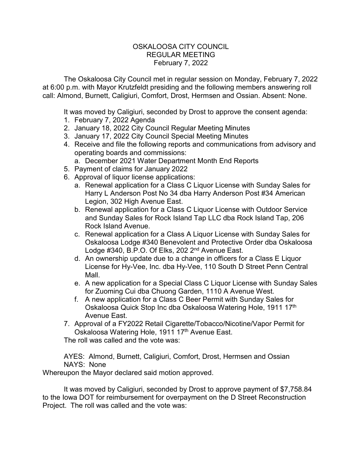## OSKALOOSA CITY COUNCIL REGULAR MEETING February 7, 2022

The Oskaloosa City Council met in regular session on Monday, February 7, 2022 at 6:00 p.m. with Mayor Krutzfeldt presiding and the following members answering roll call: Almond, Burnett, Caligiuri, Comfort, Drost, Hermsen and Ossian. Absent: None.

It was moved by Caligiuri, seconded by Drost to approve the consent agenda:

- 1. February 7, 2022 Agenda
- 2. January 18, 2022 City Council Regular Meeting Minutes
- 3. January 17, 2022 City Council Special Meeting Minutes
- 4. Receive and file the following reports and communications from advisory and operating boards and commissions:
	- a. December 2021 Water Department Month End Reports
- 5. Payment of claims for January 2022
- 6. Approval of liquor license applications:
	- a. Renewal application for a Class C Liquor License with Sunday Sales for Harry L Anderson Post No 34 dba Harry Anderson Post #34 American Legion, 302 High Avenue East.
	- b. Renewal application for a Class C Liquor License with Outdoor Service and Sunday Sales for Rock Island Tap LLC dba Rock Island Tap, 206 Rock Island Avenue.
	- c. Renewal application for a Class A Liquor License with Sunday Sales for Oskaloosa Lodge #340 Benevolent and Protective Order dba Oskaloosa Lodge #340, B.P.O. Of Elks, 202 2<sup>nd</sup> Avenue East.
	- d. An ownership update due to a change in officers for a Class E Liquor License for Hy-Vee, Inc. dba Hy-Vee, 110 South D Street Penn Central Mall.
	- e. A new application for a Special Class C Liquor License with Sunday Sales for Zuoming Cui dba Chuong Garden, 1110 A Avenue West.
	- f. A new application for a Class C Beer Permit with Sunday Sales for Oskaloosa Quick Stop Inc dba Oskaloosa Watering Hole, 1911 17th Avenue East.
- 7. Approval of a FY2022 Retail Cigarette/Tobacco/Nicotine/Vapor Permit for Oskaloosa Watering Hole, 1911 17<sup>th</sup> Avenue East.

The roll was called and the vote was:

AYES: Almond, Burnett, Caligiuri, Comfort, Drost, Hermsen and Ossian NAYS: None

Whereupon the Mayor declared said motion approved.

It was moved by Caligiuri, seconded by Drost to approve payment of \$7,758.84 to the Iowa DOT for reimbursement for overpayment on the D Street Reconstruction Project. The roll was called and the vote was: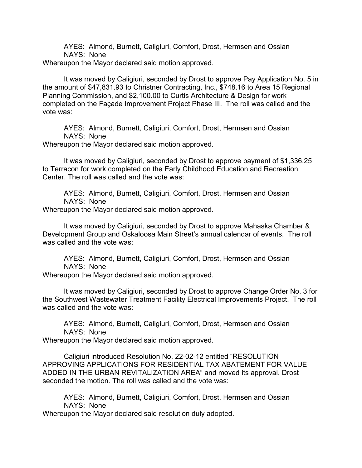AYES: Almond, Burnett, Caligiuri, Comfort, Drost, Hermsen and Ossian NAYS: None

Whereupon the Mayor declared said motion approved.

It was moved by Caligiuri, seconded by Drost to approve Pay Application No. 5 in the amount of \$47,831.93 to Christner Contracting, Inc., \$748.16 to Area 15 Regional Planning Commission, and \$2,100.00 to Curtis Architecture & Design for work completed on the Façade Improvement Project Phase III. The roll was called and the vote was:

AYES: Almond, Burnett, Caligiuri, Comfort, Drost, Hermsen and Ossian NAYS: None

Whereupon the Mayor declared said motion approved.

It was moved by Caligiuri, seconded by Drost to approve payment of \$1,336.25 to Terracon for work completed on the Early Childhood Education and Recreation Center. The roll was called and the vote was:

AYES: Almond, Burnett, Caligiuri, Comfort, Drost, Hermsen and Ossian NAYS: None

Whereupon the Mayor declared said motion approved.

It was moved by Caligiuri, seconded by Drost to approve Mahaska Chamber & Development Group and Oskaloosa Main Street's annual calendar of events. The roll was called and the vote was:

AYES: Almond, Burnett, Caligiuri, Comfort, Drost, Hermsen and Ossian NAYS: None

Whereupon the Mayor declared said motion approved.

It was moved by Caligiuri, seconded by Drost to approve Change Order No. 3 for the Southwest Wastewater Treatment Facility Electrical Improvements Project. The roll was called and the vote was:

AYES: Almond, Burnett, Caligiuri, Comfort, Drost, Hermsen and Ossian NAYS: None

Whereupon the Mayor declared said motion approved.

Caligiuri introduced Resolution No. 22-02-12 entitled "RESOLUTION APPROVING APPLICATIONS FOR RESIDENTIAL TAX ABATEMENT FOR VALUE ADDED IN THE URBAN REVITALIZATION AREA" and moved its approval. Drost seconded the motion. The roll was called and the vote was:

AYES: Almond, Burnett, Caligiuri, Comfort, Drost, Hermsen and Ossian NAYS: None

Whereupon the Mayor declared said resolution duly adopted.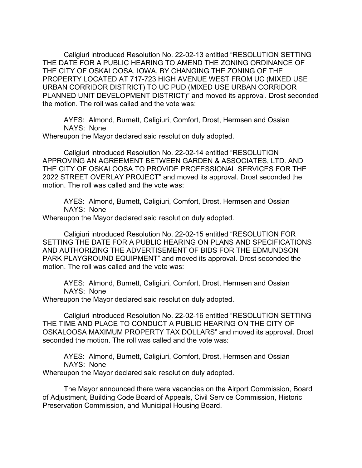Caligiuri introduced Resolution No. 22-02-13 entitled "RESOLUTION SETTING THE DATE FOR A PUBLIC HEARING TO AMEND THE ZONING ORDINANCE OF THE CITY OF OSKALOOSA, IOWA, BY CHANGING THE ZONING OF THE PROPERTY LOCATED AT 717-723 HIGH AVENUE WEST FROM UC (MIXED USE URBAN CORRIDOR DISTRICT) TO UC PUD (MIXED USE URBAN CORRIDOR PLANNED UNIT DEVELOPMENT DISTRICT)" and moved its approval. Drost seconded the motion. The roll was called and the vote was:

AYES: Almond, Burnett, Caligiuri, Comfort, Drost, Hermsen and Ossian NAYS: None

Whereupon the Mayor declared said resolution duly adopted.

Caligiuri introduced Resolution No. 22-02-14 entitled "RESOLUTION APPROVING AN AGREEMENT BETWEEN GARDEN & ASSOCIATES, LTD. AND THE CITY OF OSKALOOSA TO PROVIDE PROFESSIONAL SERVICES FOR THE 2022 STREET OVERLAY PROJECT" and moved its approval. Drost seconded the motion. The roll was called and the vote was:

AYES: Almond, Burnett, Caligiuri, Comfort, Drost, Hermsen and Ossian NAYS: None

Whereupon the Mayor declared said resolution duly adopted.

Caligiuri introduced Resolution No. 22-02-15 entitled "RESOLUTION FOR SETTING THE DATE FOR A PUBLIC HEARING ON PLANS AND SPECIFICATIONS AND AUTHORIZING THE ADVERTISEMENT OF BIDS FOR THE EDMUNDSON PARK PLAYGROUND EQUIPMENT" and moved its approval. Drost seconded the motion. The roll was called and the vote was:

AYES: Almond, Burnett, Caligiuri, Comfort, Drost, Hermsen and Ossian NAYS: None

Whereupon the Mayor declared said resolution duly adopted.

Caligiuri introduced Resolution No. 22-02-16 entitled "RESOLUTION SETTING THE TIME AND PLACE TO CONDUCT A PUBLIC HEARING ON THE CITY OF OSKALOOSA MAXIMUM PROPERTY TAX DOLLARS" and moved its approval. Drost seconded the motion. The roll was called and the vote was:

AYES: Almond, Burnett, Caligiuri, Comfort, Drost, Hermsen and Ossian NAYS: None

Whereupon the Mayor declared said resolution duly adopted.

The Mayor announced there were vacancies on the Airport Commission, Board of Adjustment, Building Code Board of Appeals, Civil Service Commission, Historic Preservation Commission, and Municipal Housing Board.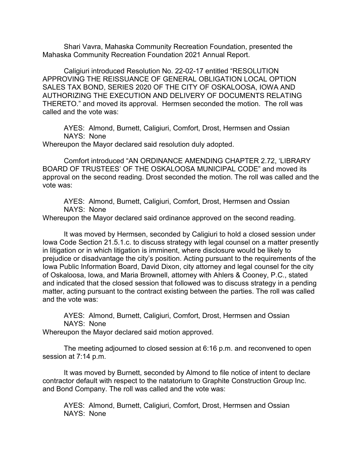Shari Vavra, Mahaska Community Recreation Foundation, presented the Mahaska Community Recreation Foundation 2021 Annual Report.

Caligiuri introduced Resolution No. 22-02-17 entitled "RESOLUTION APPROVING THE REISSUANCE OF GENERAL OBLIGATION LOCAL OPTION SALES TAX BOND, SERIES 2020 OF THE CITY OF OSKALOOSA, IOWA AND AUTHORIZING THE EXECUTION AND DELIVERY OF DOCUMENTS RELATING THERETO." and moved its approval. Hermsen seconded the motion. The roll was called and the vote was:

AYES: Almond, Burnett, Caligiuri, Comfort, Drost, Hermsen and Ossian NAYS: None

Whereupon the Mayor declared said resolution duly adopted.

Comfort introduced "AN ORDINANCE AMENDING CHAPTER 2.72, 'LIBRARY BOARD OF TRUSTEES' OF THE OSKALOOSA MUNICIPAL CODE" and moved its approval on the second reading. Drost seconded the motion. The roll was called and the vote was:

AYES: Almond, Burnett, Caligiuri, Comfort, Drost, Hermsen and Ossian NAYS: None

Whereupon the Mayor declared said ordinance approved on the second reading.

It was moved by Hermsen, seconded by Caligiuri to hold a closed session under Iowa Code Section 21.5.1.c. to discuss strategy with legal counsel on a matter presently in litigation or in which litigation is imminent, where disclosure would be likely to prejudice or disadvantage the city's position. Acting pursuant to the requirements of the Iowa Public Information Board, David Dixon, city attorney and legal counsel for the city of Oskaloosa, Iowa, and Maria Brownell, attorney with Ahlers & Cooney, P.C., stated and indicated that the closed session that followed was to discuss strategy in a pending matter, acting pursuant to the contract existing between the parties. The roll was called and the vote was:

AYES: Almond, Burnett, Caligiuri, Comfort, Drost, Hermsen and Ossian NAYS: None

Whereupon the Mayor declared said motion approved.

The meeting adjourned to closed session at 6:16 p.m. and reconvened to open session at 7:14 p.m.

It was moved by Burnett, seconded by Almond to file notice of intent to declare contractor default with respect to the natatorium to Graphite Construction Group Inc. and Bond Company. The roll was called and the vote was:

AYES: Almond, Burnett, Caligiuri, Comfort, Drost, Hermsen and Ossian NAYS: None